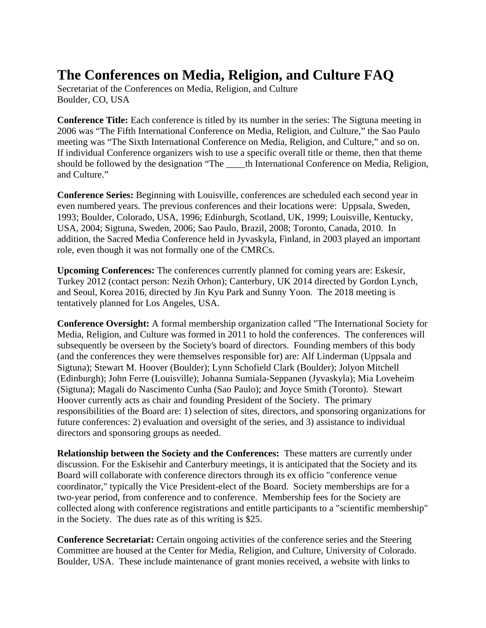## **The Conferences on Media, Religion, and Culture FAQ**

Secretariat of the Conferences on Media, Religion, and Culture Boulder, CO, USA

**Conference Title:** Each conference is titled by its number in the series: The Sigtuna meeting in 2006 was "The Fifth International Conference on Media, Religion, and Culture," the Sao Paulo meeting was "The Sixth International Conference on Media, Religion, and Culture," and so on. If individual Conference organizers wish to use a specific overall title or theme, then that theme should be followed by the designation "The \_\_\_\_th International Conference on Media, Religion, and Culture."

**Conference Series:** Beginning with Louisville, conferences are scheduled each second year in even numbered years. The previous conferences and their locations were: Uppsala, Sweden, 1993; Boulder, Colorado, USA, 1996; Edinburgh, Scotland, UK, 1999; Louisville, Kentucky, USA, 2004; Sigtuna, Sweden, 2006; Sao Paulo, Brazil, 2008; Toronto, Canada, 2010. In addition, the Sacred Media Conference held in Jyvaskyla, Finland, in 2003 played an important role, even though it was not formally one of the CMRCs.

**Upcoming Conferences:** The conferences currently planned for coming years are: Eskesir, Turkey 2012 (contact person: Nezih Orhon); Canterbury, UK 2014 directed by Gordon Lynch, and Seoul, Korea 2016, directed by Jin Kyu Park and Sunny Yoon. The 2018 meeting is tentatively planned for Los Angeles, USA.

**Conference Oversight:** A formal membership organization called "The International Society for Media, Religion, and Culture was formed in 2011 to hold the conferences. The conferences will subsequently be overseen by the Society's board of directors. Founding members of this body (and the conferences they were themselves responsible for) are: Alf Linderman (Uppsala and Sigtuna); Stewart M. Hoover (Boulder); Lynn Schofield Clark (Boulder); Jolyon Mitchell (Edinburgh); John Ferre (Louisville); Johanna Sumiala-Seppanen (Jyvaskyla); Mia Loveheim (Sigtuna); Magali do Nascimento Cunha (Sao Paulo); and Joyce Smith (Toronto). Stewart Hoover currently acts as chair and founding President of the Society. The primary responsibilities of the Board are: 1) selection of sites, directors, and sponsoring organizations for future conferences: 2) evaluation and oversight of the series, and 3) assistance to individual directors and sponsoring groups as needed.

**Relationship between the Society and the Conferences:** These matters are currently under discussion. For the Eskisehir and Canterbury meetings, it is anticipated that the Society and its Board will collaborate with conference directors through its ex officio "conference venue coordinator," typically the Vice President-elect of the Board. Society memberships are for a two-year period, from conference and to conference. Membership fees for the Society are collected along with conference registrations and entitle participants to a "scientific membership" in the Society. The dues rate as of this writing is \$25.

**Conference Secretariat:** Certain ongoing activities of the conference series and the Steering Committee are housed at the Center for Media, Religion, and Culture, University of Colorado. Boulder, USA. These include maintenance of grant monies received, a website with links to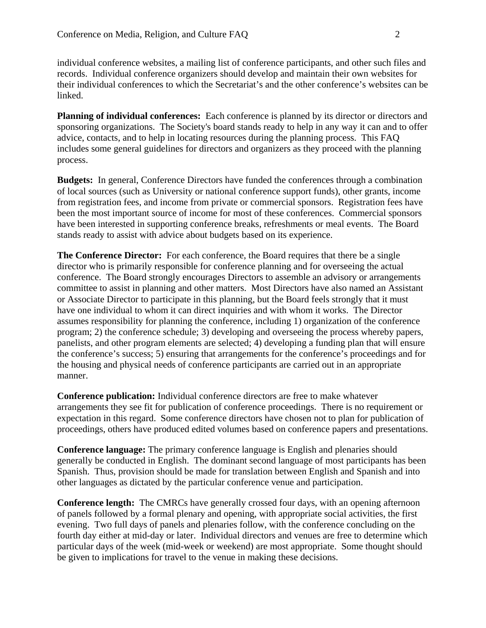individual conference websites, a mailing list of conference participants, and other such files and records. Individual conference organizers should develop and maintain their own websites for their individual conferences to which the Secretariat's and the other conference's websites can be linked.

**Planning of individual conferences:** Each conference is planned by its director or directors and sponsoring organizations. The Society's board stands ready to help in any way it can and to offer advice, contacts, and to help in locating resources during the planning process. This FAQ includes some general guidelines for directors and organizers as they proceed with the planning process.

**Budgets:** In general, Conference Directors have funded the conferences through a combination of local sources (such as University or national conference support funds), other grants, income from registration fees, and income from private or commercial sponsors. Registration fees have been the most important source of income for most of these conferences. Commercial sponsors have been interested in supporting conference breaks, refreshments or meal events. The Board stands ready to assist with advice about budgets based on its experience.

**The Conference Director:** For each conference, the Board requires that there be a single director who is primarily responsible for conference planning and for overseeing the actual conference. The Board strongly encourages Directors to assemble an advisory or arrangements committee to assist in planning and other matters. Most Directors have also named an Assistant or Associate Director to participate in this planning, but the Board feels strongly that it must have one individual to whom it can direct inquiries and with whom it works. The Director assumes responsibility for planning the conference, including 1) organization of the conference program; 2) the conference schedule; 3) developing and overseeing the process whereby papers, panelists, and other program elements are selected; 4) developing a funding plan that will ensure the conference's success; 5) ensuring that arrangements for the conference's proceedings and for the housing and physical needs of conference participants are carried out in an appropriate manner.

**Conference publication:** Individual conference directors are free to make whatever arrangements they see fit for publication of conference proceedings. There is no requirement or expectation in this regard. Some conference directors have chosen not to plan for publication of proceedings, others have produced edited volumes based on conference papers and presentations.

**Conference language:** The primary conference language is English and plenaries should generally be conducted in English. The dominant second language of most participants has been Spanish. Thus, provision should be made for translation between English and Spanish and into other languages as dictated by the particular conference venue and participation.

**Conference length:** The CMRCs have generally crossed four days, with an opening afternoon of panels followed by a formal plenary and opening, with appropriate social activities, the first evening. Two full days of panels and plenaries follow, with the conference concluding on the fourth day either at mid-day or later. Individual directors and venues are free to determine which particular days of the week (mid-week or weekend) are most appropriate. Some thought should be given to implications for travel to the venue in making these decisions.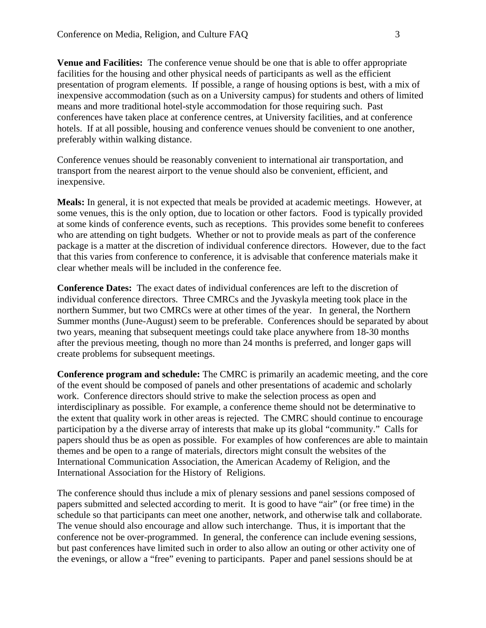**Venue and Facilities:** The conference venue should be one that is able to offer appropriate facilities for the housing and other physical needs of participants as well as the efficient presentation of program elements. If possible, a range of housing options is best, with a mix of inexpensive accommodation (such as on a University campus) for students and others of limited means and more traditional hotel-style accommodation for those requiring such. Past conferences have taken place at conference centres, at University facilities, and at conference hotels. If at all possible, housing and conference venues should be convenient to one another, preferably within walking distance.

Conference venues should be reasonably convenient to international air transportation, and transport from the nearest airport to the venue should also be convenient, efficient, and inexpensive.

**Meals:** In general, it is not expected that meals be provided at academic meetings. However, at some venues, this is the only option, due to location or other factors. Food is typically provided at some kinds of conference events, such as receptions. This provides some benefit to conferees who are attending on tight budgets. Whether or not to provide meals as part of the conference package is a matter at the discretion of individual conference directors. However, due to the fact that this varies from conference to conference, it is advisable that conference materials make it clear whether meals will be included in the conference fee.

**Conference Dates:** The exact dates of individual conferences are left to the discretion of individual conference directors. Three CMRCs and the Jyvaskyla meeting took place in the northern Summer, but two CMRCs were at other times of the year. In general, the Northern Summer months (June-August) seem to be preferable. Conferences should be separated by about two years, meaning that subsequent meetings could take place anywhere from 18-30 months after the previous meeting, though no more than 24 months is preferred, and longer gaps will create problems for subsequent meetings.

**Conference program and schedule:** The CMRC is primarily an academic meeting, and the core of the event should be composed of panels and other presentations of academic and scholarly work. Conference directors should strive to make the selection process as open and interdisciplinary as possible. For example, a conference theme should not be determinative to the extent that quality work in other areas is rejected. The CMRC should continue to encourage participation by a the diverse array of interests that make up its global "community." Calls for papers should thus be as open as possible. For examples of how conferences are able to maintain themes and be open to a range of materials, directors might consult the websites of the International Communication Association, the American Academy of Religion, and the International Association for the History of Religions.

The conference should thus include a mix of plenary sessions and panel sessions composed of papers submitted and selected according to merit. It is good to have "air" (or free time) in the schedule so that participants can meet one another, network, and otherwise talk and collaborate. The venue should also encourage and allow such interchange. Thus, it is important that the conference not be over-programmed. In general, the conference can include evening sessions, but past conferences have limited such in order to also allow an outing or other activity one of the evenings, or allow a "free" evening to participants. Paper and panel sessions should be at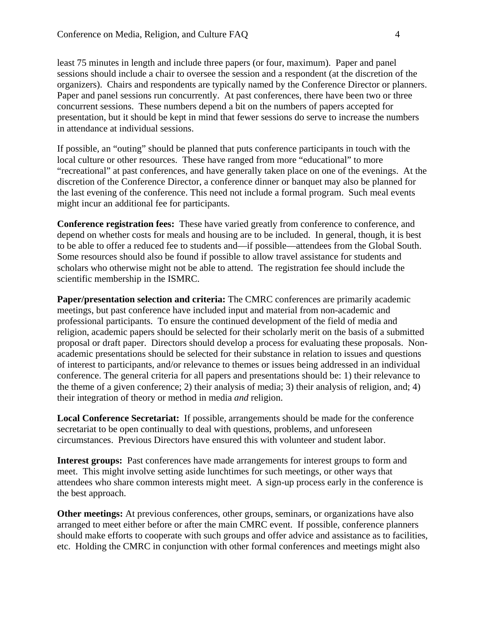least 75 minutes in length and include three papers (or four, maximum). Paper and panel sessions should include a chair to oversee the session and a respondent (at the discretion of the organizers). Chairs and respondents are typically named by the Conference Director or planners. Paper and panel sessions run concurrently. At past conferences, there have been two or three concurrent sessions. These numbers depend a bit on the numbers of papers accepted for presentation, but it should be kept in mind that fewer sessions do serve to increase the numbers in attendance at individual sessions.

If possible, an "outing" should be planned that puts conference participants in touch with the local culture or other resources. These have ranged from more "educational" to more "recreational" at past conferences, and have generally taken place on one of the evenings. At the discretion of the Conference Director, a conference dinner or banquet may also be planned for the last evening of the conference. This need not include a formal program. Such meal events might incur an additional fee for participants.

**Conference registration fees:** These have varied greatly from conference to conference, and depend on whether costs for meals and housing are to be included. In general, though, it is best to be able to offer a reduced fee to students and—if possible—attendees from the Global South. Some resources should also be found if possible to allow travel assistance for students and scholars who otherwise might not be able to attend. The registration fee should include the scientific membership in the ISMRC.

**Paper/presentation selection and criteria:** The CMRC conferences are primarily academic meetings, but past conference have included input and material from non-academic and professional participants. To ensure the continued development of the field of media and religion, academic papers should be selected for their scholarly merit on the basis of a submitted proposal or draft paper. Directors should develop a process for evaluating these proposals. Nonacademic presentations should be selected for their substance in relation to issues and questions of interest to participants, and/or relevance to themes or issues being addressed in an individual conference. The general criteria for all papers and presentations should be: 1) their relevance to the theme of a given conference; 2) their analysis of media; 3) their analysis of religion, and; 4) their integration of theory or method in media *and* religion.

**Local Conference Secretariat:** If possible, arrangements should be made for the conference secretariat to be open continually to deal with questions, problems, and unforeseen circumstances. Previous Directors have ensured this with volunteer and student labor.

**Interest groups:** Past conferences have made arrangements for interest groups to form and meet. This might involve setting aside lunchtimes for such meetings, or other ways that attendees who share common interests might meet. A sign-up process early in the conference is the best approach.

**Other meetings:** At previous conferences, other groups, seminars, or organizations have also arranged to meet either before or after the main CMRC event. If possible, conference planners should make efforts to cooperate with such groups and offer advice and assistance as to facilities, etc. Holding the CMRC in conjunction with other formal conferences and meetings might also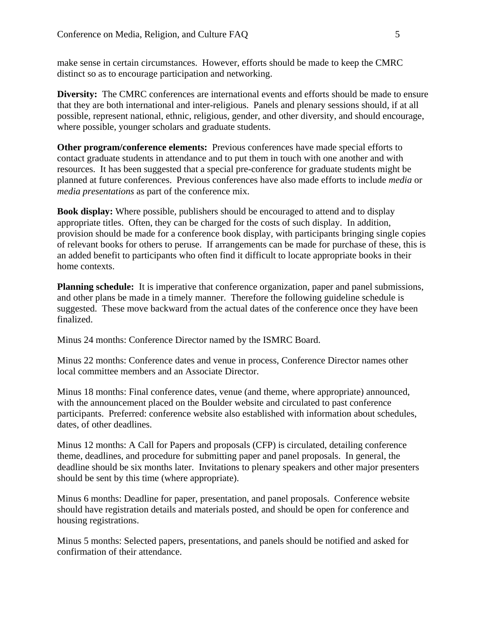make sense in certain circumstances. However, efforts should be made to keep the CMRC distinct so as to encourage participation and networking.

**Diversity:** The CMRC conferences are international events and efforts should be made to ensure that they are both international and inter-religious. Panels and plenary sessions should, if at all possible, represent national, ethnic, religious, gender, and other diversity, and should encourage, where possible, younger scholars and graduate students.

**Other program/conference elements:** Previous conferences have made special efforts to contact graduate students in attendance and to put them in touch with one another and with resources. It has been suggested that a special pre-conference for graduate students might be planned at future conferences. Previous conferences have also made efforts to include *media* or *media presentations* as part of the conference mix.

**Book display:** Where possible, publishers should be encouraged to attend and to display appropriate titles. Often, they can be charged for the costs of such display. In addition, provision should be made for a conference book display, with participants bringing single copies of relevant books for others to peruse. If arrangements can be made for purchase of these, this is an added benefit to participants who often find it difficult to locate appropriate books in their home contexts.

**Planning schedule:** It is imperative that conference organization, paper and panel submissions, and other plans be made in a timely manner. Therefore the following guideline schedule is suggested. These move backward from the actual dates of the conference once they have been finalized.

Minus 24 months: Conference Director named by the ISMRC Board.

Minus 22 months: Conference dates and venue in process, Conference Director names other local committee members and an Associate Director.

Minus 18 months: Final conference dates, venue (and theme, where appropriate) announced, with the announcement placed on the Boulder website and circulated to past conference participants. Preferred: conference website also established with information about schedules, dates, of other deadlines.

Minus 12 months: A Call for Papers and proposals (CFP) is circulated, detailing conference theme, deadlines, and procedure for submitting paper and panel proposals. In general, the deadline should be six months later. Invitations to plenary speakers and other major presenters should be sent by this time (where appropriate).

Minus 6 months: Deadline for paper, presentation, and panel proposals. Conference website should have registration details and materials posted, and should be open for conference and housing registrations.

Minus 5 months: Selected papers, presentations, and panels should be notified and asked for confirmation of their attendance.